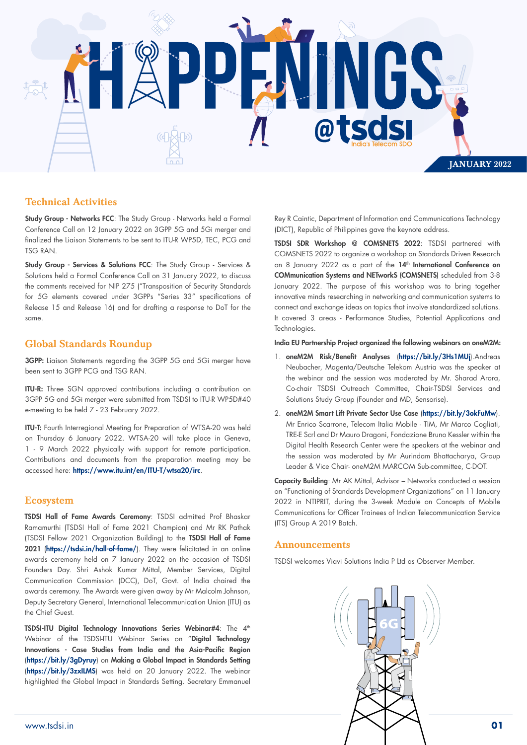

## Technical Activities

Study Group - Networks FCC: The Study Group - Networks held a Formal Conference Call on 12 January 2022 on 3GPP 5G and 5Gi merger and finalized the Liaison Statements to be sent to ITU-R WP5D, TEC, PCG and TSG RAN.

Study Group - Services & Solutions FCC: The Study Group - Services & Solutions held a Formal Conference Call on 31 January 2022, to discuss the comments received for NIP 275 ("Transposition of Security Standards for 5G elements covered under 3GPPs "Series 33" specifications of Release 15 and Release 16) and for drafting a response to DoT for the same.

### Global Standards Roundup

3GPP: Liaison Statements regarding the 3GPP 5G and 5Gi merger have been sent to 3GPP PCG and TSG RAN.

ITU-R: Three SGN approved contributions including a contribution on 3GPP 5G and 5Gi merger were submitted from TSDSI to ITU-R WP5D#40 e-meeting to be held 7 - 23 February 2022.

ITU-T: Fourth Interregional Meeting for Preparation of WTSA-20 was held on Thursday 6 January 2022. WTSA-20 will take place in Geneva, 1 - 9 March 2022 physically with support for remote participation. Contributions and documents from the preparation meeting may be accessed here: https://www.itu.int/en/ITU-T/wtsa20/irc.

#### Ecosystem

TSDSI Hall of Fame Awards Ceremony: TSDSI admitted Prof Bhaskar Ramamurthi (TSDSI Hall of Fame 2021 Champion) and Mr RK Pathak (TSDSI Fellow 2021 Organization Building) to the TSDSI Hall of Fame 2021 (https://tsdsi.in/hall-of-fame/). They were felicitated in an online awards ceremony held on 7 January 2022 on the occasion of TSDSI Founders Day. Shri Ashok Kumar Mittal, Member Services, Digital Communication Commission (DCC), DoT, Govt. of India chaired the awards ceremony. The Awards were given away by Mr Malcolm Johnson, Deputy Secretary General, International Telecommunication Union (ITU) as the Chief Guest.

TSDSI-ITU Digital Technology Innovations Series Webinar#4: The 4<sup>th</sup> Webinar of the TSDSI-ITU Webinar Series on "Digital Technology Innovations - Case Studies from India and the Asia-Pacific Region (https://bit.ly/3gDyruy) on Making a Global Impact in Standards Setting (https://bit.ly/3zxILMS) was held on 20 January 2022. The webinar highlighted the Global Impact in Standards Setting. Secretary Emmanuel

Rey R Caintic, Department of Information and Communications Technology (DICT), Republic of Philippines gave the keynote address.

TSDSI SDR Workshop @ COMSNETS 2022: TSDSI partnered with COMSNETS 2022 to organize a workshop on Standards Driven Research on 8 January 2022 as a part of the 14<sup>th</sup> International Conference on COMmunication Systems and NETworkS (COMSNETS) scheduled from 3-8 January 2022. The purpose of this workshop was to bring together innovative minds researching in networking and communication systems to connect and exchange ideas on topics that involve standardized solutions. It covered 3 areas - Performance Studies, Potential Applications and Technologies.

India EU Partnership Project organized the following webinars on oneM2M:

- 1. oneM2M Risk/Benefit Analyses (https://bit.ly/3Hs1MUj).Andreas Neubacher, Magenta/Deutsche Telekom Austria was the speaker at the webinar and the session was moderated by Mr. Sharad Arora, Co-chair TSDSI Outreach Committee, Chair-TSDSI Services and Solutions Study Group (Founder and MD, Sensorise).
- 2. oneM2M Smart Lift Private Sector Use Case (https://bit.ly/3okFuMw). Mr Enrico Scarrone, Telecom Italia Mobile - TIM, Mr Marco Cogliati, TRE-E Scrl and Dr Mauro Dragoni, Fondazione Bruno Kessler within the Digital Health Research Center were the speakers at the webinar and the session was moderated by Mr Aurindam Bhattacharya, Group Leader & Vice Chair- oneM2M MARCOM Sub-committee, C-DOT.

Capacity Building: Mr AK Mittal, Advisor – Networks conducted a session on "Functioning of Standards Development Organizations" on 11 January 2022 in NTIPRIT, during the 3-week Module on Concepts of Mobile Communications for Officer Trainees of Indian Telecommunication Service (ITS) Group A 2019 Batch.

#### Announcements

TSDSI welcomes Viavi Solutions India P Ltd as Observer Member.